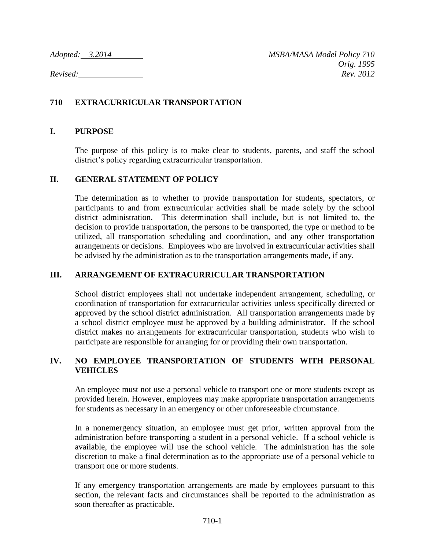# **710 EXTRACURRICULAR TRANSPORTATION**

### **I. PURPOSE**

The purpose of this policy is to make clear to students, parents, and staff the school district's policy regarding extracurricular transportation.

#### **II. GENERAL STATEMENT OF POLICY**

The determination as to whether to provide transportation for students, spectators, or participants to and from extracurricular activities shall be made solely by the school district administration. This determination shall include, but is not limited to, the decision to provide transportation, the persons to be transported, the type or method to be utilized, all transportation scheduling and coordination, and any other transportation arrangements or decisions. Employees who are involved in extracurricular activities shall be advised by the administration as to the transportation arrangements made, if any.

### **III. ARRANGEMENT OF EXTRACURRICULAR TRANSPORTATION**

School district employees shall not undertake independent arrangement, scheduling, or coordination of transportation for extracurricular activities unless specifically directed or approved by the school district administration. All transportation arrangements made by a school district employee must be approved by a building administrator. If the school district makes no arrangements for extracurricular transportation, students who wish to participate are responsible for arranging for or providing their own transportation.

### **IV. NO EMPLOYEE TRANSPORTATION OF STUDENTS WITH PERSONAL VEHICLES**

An employee must not use a personal vehicle to transport one or more students except as provided herein. However, employees may make appropriate transportation arrangements for students as necessary in an emergency or other unforeseeable circumstance.

In a nonemergency situation, an employee must get prior, written approval from the administration before transporting a student in a personal vehicle. If a school vehicle is available, the employee will use the school vehicle. The administration has the sole discretion to make a final determination as to the appropriate use of a personal vehicle to transport one or more students.

If any emergency transportation arrangements are made by employees pursuant to this section, the relevant facts and circumstances shall be reported to the administration as soon thereafter as practicable.